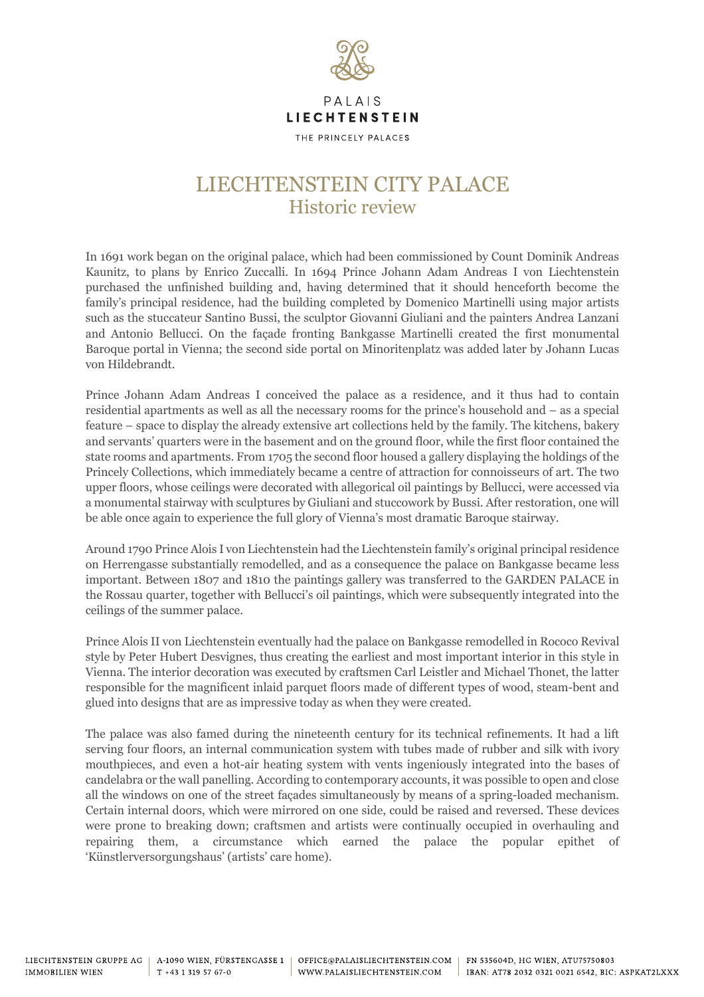

THE PRINCELY PALACES

## LIECHTENSTEIN CITY PALACE Historic review

In 1691 work began on the original palace, which had been commissioned by Count Dominik Andreas Kaunitz, to plans by Enrico Zuccalli. In 1694 Prince Johann Adam Andreas I von Liechtenstein purchased the unfinished building and, having determined that it should henceforth become the family's principal residence, had the building completed by Domenico Martinelli using major artists such as the stuccateur Santino Bussi, the sculptor Giovanni Giuliani and the painters Andrea Lanzani and Antonio Bellucci. On the façade fronting Bankgasse Martinelli created the first monumental Baroque portal in Vienna; the second side portal on Minoritenplatz was added later by Johann Lucas von Hildebrandt.

Prince Johann Adam Andreas I conceived the palace as a residence, and it thus had to contain residential apartments as well as all the necessary rooms for the prince's household and – as a special feature – space to display the already extensive art collections held by the family. The kitchens, bakery and servants' quarters were in the basement and on the ground floor, while the first floor contained the state rooms and apartments. From 1705 the second floor housed a gallery displaying the holdings of the Princely Collections, which immediately became a centre of attraction for connoisseurs of art. The two upper floors, whose ceilings were decorated with allegorical oil paintings by Bellucci, were accessed via a monumental stairway with sculptures by Giuliani and stuccowork by Bussi. After restoration, one will be able once again to experience the full glory of Vienna's most dramatic Baroque stairway.

Around 1790 Prince Alois I von Liechtenstein had the Liechtenstein family's original principal residence on Herrengasse substantially remodelled, and as a consequence the palace on Bankgasse became less important. Between 1807 and 1810 the paintings gallery was transferred to the GARDEN PALACE in the Rossau quarter, together with Bellucci's oil paintings, which were subsequently integrated into the ceilings of the summer palace.

Prince Alois II von Liechtenstein eventually had the palace on Bankgasse remodelled in Rococo Revival style by Peter Hubert Desvignes, thus creating the earliest and most important interior in this style in Vienna. The interior decoration was executed by craftsmen Carl Leistler and Michael Thonet, the latter responsible for the magnificent inlaid parquet floors made of different types of wood, steam-bent and glued into designs that are as impressive today as when they were created.

The palace was also famed during the nineteenth century for its technical refinements. It had a lift serving four floors, an internal communication system with tubes made of rubber and silk with ivory mouthpieces, and even a hot-air heating system with vents ingeniously integrated into the bases of candelabra or the wall panelling. According to contemporary accounts, it was possible to open and close all the windows on one of the street façades simultaneously by means of a spring-loaded mechanism. Certain internal doors, which were mirrored on one side, could be raised and reversed. These devices were prone to breaking down; craftsmen and artists were continually occupied in overhauling and repairing them, a circumstance which earned the palace the popular epithet of 'Künstlerversorgungshaus' (artists' care home).